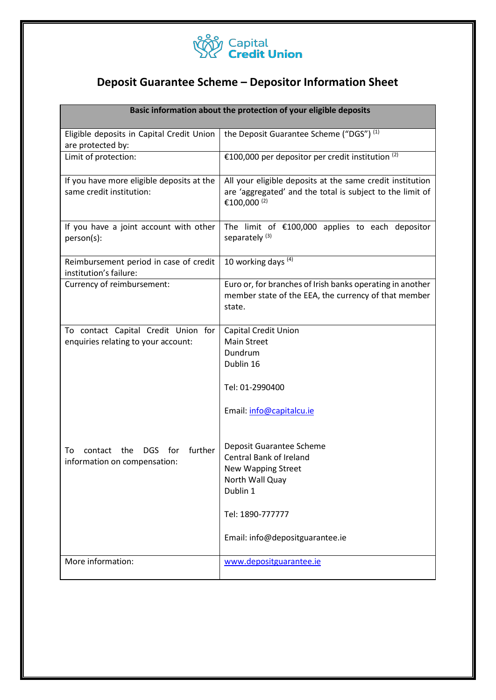

# **Deposit Guarantee Scheme – Depositor Information Sheet**

| Basic information about the protection of your eligible deposits           |                                                                                                                                                                               |
|----------------------------------------------------------------------------|-------------------------------------------------------------------------------------------------------------------------------------------------------------------------------|
| Eligible deposits in Capital Credit Union<br>are protected by:             | the Deposit Guarantee Scheme ("DGS") (1)                                                                                                                                      |
| Limit of protection:                                                       | €100,000 per depositor per credit institution $(2)$                                                                                                                           |
| If you have more eligible deposits at the<br>same credit institution:      | All your eligible deposits at the same credit institution<br>are 'aggregated' and the total is subject to the limit of<br>€100,000 <sup>(2)</sup>                             |
| If you have a joint account with other<br>person(s):                       | The limit of $£100,000$ applies to each depositor<br>separately <sup>(3)</sup>                                                                                                |
| Reimbursement period in case of credit<br>institution's failure:           | 10 working days $(4)$                                                                                                                                                         |
| Currency of reimbursement:                                                 | Euro or, for branches of Irish banks operating in another<br>member state of the EEA, the currency of that member<br>state.                                                   |
| To contact Capital Credit Union for<br>enquiries relating to your account: | <b>Capital Credit Union</b><br><b>Main Street</b><br>Dundrum<br>Dublin 16<br>Tel: 01-2990400<br>Email: info@capitalcu.ie                                                      |
| further<br>DGS for<br>contact<br>the<br>To<br>information on compensation: | Deposit Guarantee Scheme<br><b>Central Bank of Ireland</b><br><b>New Wapping Street</b><br>North Wall Quay<br>Dublin 1<br>Tel: 1890-777777<br>Email: info@depositguarantee.ie |
| More information:                                                          | www.depositguarantee.ie                                                                                                                                                       |